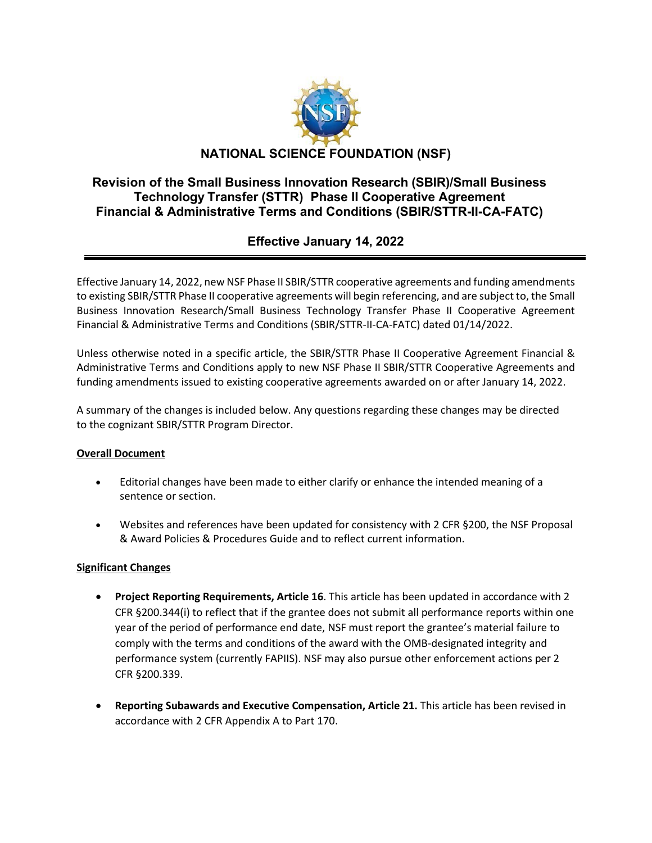

## **Revision of the Small Business Innovation Research (SBIR)/Small Business Technology Transfer (STTR) Phase II Cooperative Agreement Financial & Administrative Terms and Conditions (SBIR/STTR-II-CA-FATC)**

# **Effective January 14, 2022**

Effective January 14, 2022, new NSF Phase II SBIR/STTR cooperative agreements and funding amendments to existing SBIR/STTR Phase II cooperative agreements will begin referencing, and are subject to, the Small Business Innovation Research/Small Business Technology Transfer Phase II Cooperative Agreement Financial & Administrative Terms and Conditions (SBIR/STTR-II-CA-FATC) dated 01/14/2022.

Unless otherwise noted in a specific article, the SBIR/STTR Phase II Cooperative Agreement Financial & Administrative Terms and Conditions apply to new NSF Phase II SBIR/STTR Cooperative Agreements and funding amendments issued to existing cooperative agreements awarded on or after January 14, 2022.

A summary of the changes is included below. Any questions regarding these changes may be directed to the cognizant SBIR/STTR Program Director.

### **Overall Document**

- Editorial changes have been made to either clarify or enhance the intended meaning of a sentence or section.
- Websites and references have been updated for consistency with 2 CFR §200, the NSF Proposal & Award Policies & Procedures Guide and to reflect current information.

### **Significant Changes**

- **Project Reporting Requirements, Article 16**. This article has been updated in accordance with 2 CFR §200.344(i) to reflect that if the grantee does not submit all performance reports within one year of the period of performance end date, NSF must report the grantee's material failure to comply with the terms and conditions of the award with the OMB-designated integrity and performance system (currently FAPIIS). NSF may also pursue other enforcement actions per 2 CFR §200.339.
- **Reporting Subawards and Executive Compensation, Article 21.** This article has been revised in accordance with 2 CFR Appendix A to Part 170.